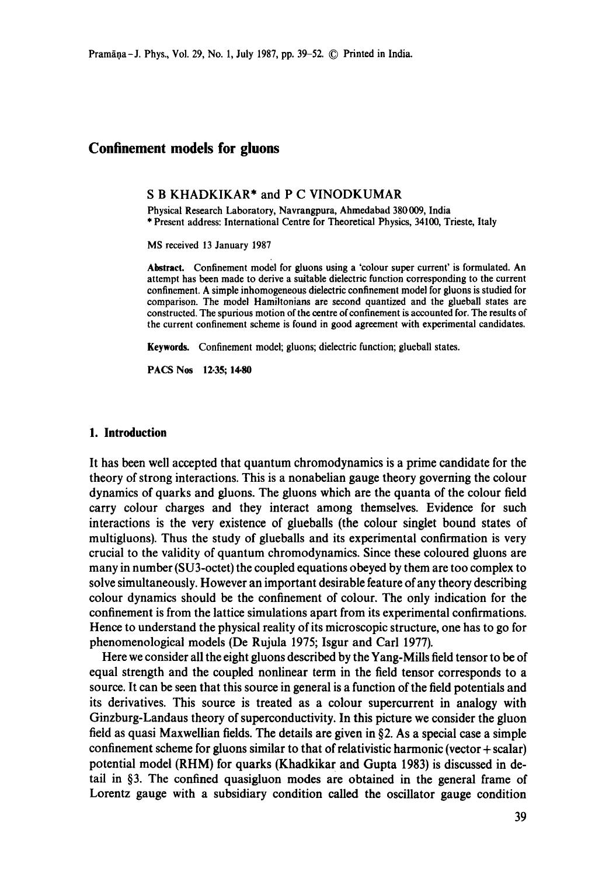# **Confinement models for gluons**

#### S B KHADKIKAR\* and P C VINODKUMAR

Physical Research Laboratory, Navrangpura, Ahmedabad 380009, India \* Present address: International Centre for Theoretical Physics, 34100, Trieste, Italy

MS received 13 January 1987

**Abstract.** Confinement model for gluons using a 'colour super current' is formulated. An attempt has been made to derive a suitable dielectric function corresponding to the current confinement. A simple inhomogeneous dielectric confinement model for gluons is studied for comparison. The model Hamiltonians are second quantized and the glueball states are constructed. The spurious motion of the centre of confinement is accounted for. The results of the current confinement scheme is found in good agreement with experimental candidates.

**Keywords.** Confinement model; gluons; dielectric function; glueball states.

PACS Nos 12.35; 14.80

#### **1. Introduction**

It has been well accepted that quantum chromodynamics is a prime candidate for the theory of strong interactions. This is a nonabelian gauge theory governing the colour dynamics of quarks and gluons. The gluons which are the quanta of the colour field carry colour charges and they interact among themselves. Evidence for such interactions is the very existence of glueballs (the colour singlet bound states of multigluons). Thus the study of glueballs and its experimental confirmation is very crucial to the validity of quantum chromodynamics. Since these coloured gluons are many in number (SU3-octet) the coupled equations obeyed by them are too complex to solve simultaneously. However an important desirable feature of any theory describing colour dynamics should be the confinement of colour. The only indication for the confinement is from the lattice simulations apart from its experimental confirmations. Hence to understand the physical reality of its microscopic structure, one has to go for phenomenologieal models (De Rujula 1975; Isgur and Carl 1977).

Here we consider all the eight gluons described by the Yang-Mills field tensor to be of equal strength and the coupled nonlinear term in the field tensor corresponds to a source. It can be seen that this source in general is a function of the field potentials and its derivatives. This source is treated as a colour supercurrent in analogy with Ginzburg-Landaus theory of superconductivity. In this picture we consider the gluon field as quasi Maxwellian fields. The details are given in §2. As a special case a simple confinement scheme for gluons similar to that of relativistic harmonic (vector + scalar) potential model (RHM) for quarks (Khadkikar and Gupta 1983) is discussed in detail in §3. The confined quasigluon modes are obtained in the general frame of Lorentz gauge with a subsidiary condition called the oscillator gauge condition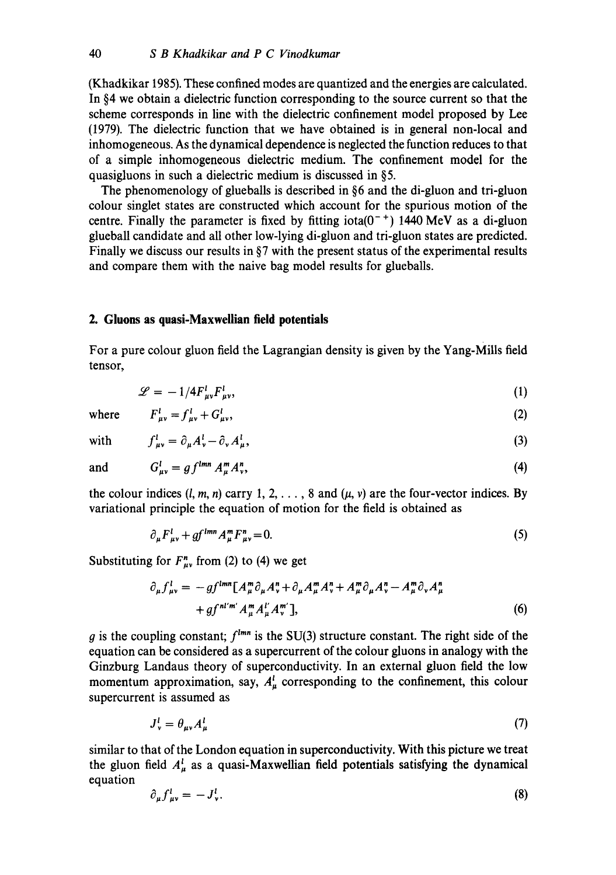(Khadkikar 1985). These confined modes are quantized and the energies are calculated. In §4 we obtain a dielectric function corresponding to the source current so that the scheme corresponds in line with the dielectric confinement model proposed by Lee (1979). The dielectric function that we have obtained is in general non-local and inhomogeneous. As the dynamical dependence is neglected the function reduces to that of a simple inhomogeneous dielectric medium. The confinement model for the quasigluons in such a dielectric medium is discussed in §5.

The phenomenology of glueballs is described in §6 and the di-gluon and tri-gluon colour singlet states are constructed which account for the spurious motion of the centre. Finally the parameter is fixed by fitting iota( $0^{-+}$ ) 1440 MeV as a di-gluon glueball candidate and all other low-lying di-gluon and tri-gluon states are predicted. Finally we discuss our results in  $\S7$  with the present status of the experimental results and compare them with the naive bag model results for glueballs.

#### **2. Gluons as quasi-Maxweilian field potentials**

For a pure colour gluon field the Lagrangian density is given by the Yang-Mills field tensor,

$$
\mathscr{L} = -1/4F_{\mu\nu}^l F_{\mu\nu}^l,\tag{1}
$$

where  $F_{uv}^l = f_{uv}^l + G_{uv}^l$ , (2)

with 
$$
f_{\mu\nu}^l = \partial_\mu A_\nu^l - \partial_\nu A_\mu^l,
$$
 (3)

and  $G_{\mu\nu}^l = gf^{lmn} A_{\mu}^m A_{\nu}^n$ , (4)

the colour indices  $(l, m, n)$  carry 1, 2, ..., 8 and  $(\mu, \nu)$  are the four-vector indices. By variational principle the equation of motion for the field is obtained as

$$
\partial_{\mu} F^{l}_{\mu\nu} + gf^{lmn} A_{\mu}^{m} F^{n}_{\mu\nu} = 0. \tag{5}
$$

Substituting for  $F_{uv}^n$  from (2) to (4) we get

$$
\partial_{\mu} f_{\mu\nu}^{l} = -gf^{lmn} \left[ A_{\mu}^{m} \partial_{\mu} A_{\nu}^{n} + \partial_{\mu} A_{\mu}^{m} A_{\nu}^{n} + A_{\mu}^{m} \partial_{\mu} A_{\nu}^{n} - A_{\mu}^{m} \partial_{\nu} A_{\mu}^{n} + gf^{nl'm'} A_{\mu}^{m} A_{\nu}^{l'} \right],
$$
\n
$$
(6)
$$

g is the coupling constant;  $f^{lmn}$  is the SU(3) structure constant. The right side of the equation can be considered as a supercurrent of the colour gluons in analogy with the Ginzburg Landaus theory of superconductivity. In an external gluon field the low momentum approximation, say,  $A<sub>u</sub><sup>l</sup>$  corresponding to the confinement, this colour supercurrent is assumed as

$$
J_v^l = \theta_{\mu\nu} A_\mu^l \tag{7}
$$

similar to that of the London equation in superconductivity. With this picture we treat the gluon field  $A^l_\mu$  as a quasi-Maxwellian field potentials satisfying the dynamical equation

$$
\partial_{\mu} f_{\mu\nu}^{i} = -J_{\nu}^{i}.
$$
 (8)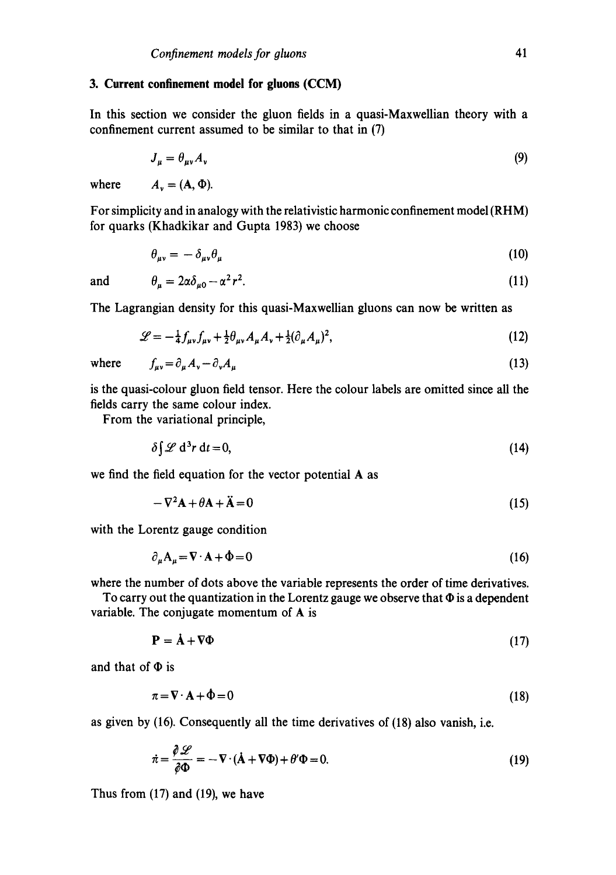#### **3. Current confinement model for gluons (CCM)**

In this section we consider the gluon fields in a quasi-Maxwellian theory with a confinement current assumed to be similar to that in (7)

$$
J_{\mu} = \theta_{\mu\nu} A_{\nu} \tag{9}
$$

where  $A_v = (A, \Phi)$ .

For simplicity and in analogy with the relativistic harmonic confinement model (RHM) for quarks (Khadkikar and Gupta 1983) we choose

$$
\theta_{\mu\nu} = -\delta_{\mu\nu}\theta_{\mu} \tag{10}
$$

and 
$$
\theta_{\mu} = 2\alpha \delta_{\mu 0} - \alpha^2 r^2
$$
. (11)

The Lagrangian density for this quasi-Maxwellian gluons can now be written as

$$
\mathcal{L} = -\frac{1}{4} f_{\mu\nu} f_{\mu\nu} + \frac{1}{2} \theta_{\mu\nu} A_{\mu} A_{\nu} + \frac{1}{2} (\partial_{\mu} A_{\mu})^2, \tag{12}
$$

 $f_{\mu\nu} = \partial_{\mu} A_{\nu} - \partial_{\nu} A_{\mu}$  (13)

$$
\quad \text{where} \quad
$$

is the quasi-colour gluon field tensor. Here the colour labels are omitted since all the fields carry the same colour index.

From the variational principle,

$$
\delta \int \mathcal{L} \, \mathrm{d}^3 r \, \mathrm{d}t = 0,\tag{14}
$$

we find the field equation for the vector potential A as

$$
-\nabla^2 \mathbf{A} + \theta \mathbf{A} + \ddot{\mathbf{A}} = 0 \tag{15}
$$

with the Lorentz gauge condition

$$
\partial_{\mu}A_{\mu} = \nabla \cdot \mathbf{A} + \Phi = 0 \tag{16}
$$

where the number of dots above the variable represents the order of time derivatives.

To carry out the quantization in the Lorentz gauge we observe that  $\Phi$  is a dependent variable. The conjugate momentum of A is

$$
\mathbf{P} = \dot{\mathbf{A}} + \nabla \Phi \tag{17}
$$

and that of  $\Phi$  is

$$
\pi = \nabla \cdot \mathbf{A} + \Phi = 0 \tag{18}
$$

as given by (16). Consequently all the time derivatives of (18) also vanish, i.e.

$$
\dot{\pi} = \frac{\partial \mathcal{L}}{\partial \Phi} = -\nabla \cdot (\dot{\mathbf{A}} + \nabla \Phi) + \theta' \Phi = 0.
$$
 (19)

Thus from (17) and (19), we have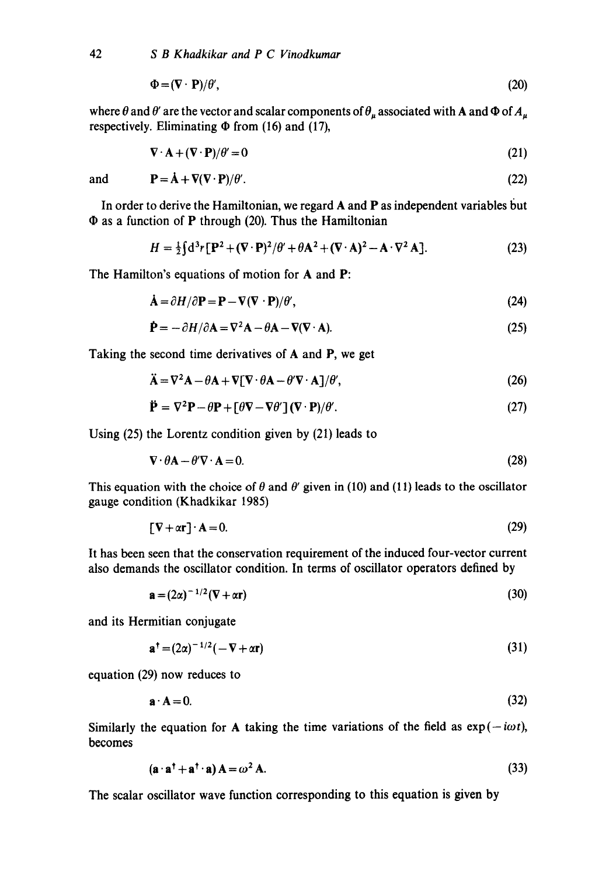$$
\Phi = (\nabla \cdot \mathbf{P})/\theta',\tag{20}
$$

where  $\theta$  and  $\theta'$  are the vector and scalar components of  $\theta_u$  associated with A and  $\Phi$  of  $A_u$ respectively. Eliminating  $\Phi$  from (16) and (17),

$$
\nabla \cdot \mathbf{A} + (\nabla \cdot \mathbf{P})/\theta' = 0 \tag{21}
$$

and  $P = \dot{A} + \nabla (\nabla \cdot P)/\theta'$ . (22)

In order to derive the Hamiltonian, we regard  $A$  and  $P$  as independent variables but

 $\Phi$  as a function of P through (20). Thus the Hamiltonian

$$
H = \frac{1}{2} \int d^3 r \left[ \mathbf{P}^2 + (\nabla \cdot \mathbf{P})^2 / \theta' + \theta \mathbf{A}^2 + (\nabla \cdot \mathbf{A})^2 - \mathbf{A} \cdot \nabla^2 \mathbf{A} \right].
$$
 (23)

The Hamilton's equations of motion for A and P:

$$
\dot{\mathbf{A}} = \partial H / \partial \mathbf{P} = \mathbf{P} - \nabla (\nabla \cdot \mathbf{P}) / \theta',\tag{24}
$$

$$
\dot{\mathbf{P}} = -\partial H/\partial \mathbf{A} = \nabla^2 \mathbf{A} - \partial \mathbf{A} - \nabla (\nabla \cdot \mathbf{A}).
$$
\n(25)

Taking the second time derivatives of A and P, we get

$$
\ddot{\mathbf{A}} = \nabla^2 \mathbf{A} - \theta \mathbf{A} + \nabla [\nabla \cdot \theta \mathbf{A} - \theta' \nabla \cdot \mathbf{A}]/\theta',\tag{26}
$$

$$
\ddot{\mathbf{P}} = \nabla^2 \mathbf{P} - \theta \mathbf{P} + [\theta \nabla - \nabla \theta'] (\nabla \cdot \mathbf{P}) / \theta'. \tag{27}
$$

Using (25) the Lorentz condition given by (21) leads to

$$
\nabla \cdot \theta \mathbf{A} - \theta' \nabla \cdot \mathbf{A} = 0. \tag{28}
$$

This equation with the choice of  $\theta$  and  $\theta'$  given in (10) and (11) leads to the oscillator gauge condition (Khadkikar 1985)

$$
[\mathbf{V} + \alpha \mathbf{r}] \cdot \mathbf{A} = 0. \tag{29}
$$

It has been seen that the conservation requirement of the induced four-vector current also demands the oscillator condition. In terms of oscillator operators defined by

$$
\mathbf{a} = (2\alpha)^{-1/2} (\nabla + \alpha \mathbf{r}) \tag{30}
$$

and its Hermitian conjugate

$$
\mathbf{a}^{\dagger} = (2\alpha)^{-1/2}(-\nabla + \alpha \mathbf{r})\tag{31}
$$

equation (29) now reduces to

$$
\mathbf{a} \cdot \mathbf{A} = 0. \tag{32}
$$

Similarly the equation for A taking the time variations of the field as  $exp(-i\omega t)$ , becomes

$$
(\mathbf{a} \cdot \mathbf{a}^\dagger + \mathbf{a}^\dagger \cdot \mathbf{a}) \mathbf{A} = \omega^2 \mathbf{A}.\tag{33}
$$

The scalar oscillator wave function corresponding to this equation is given by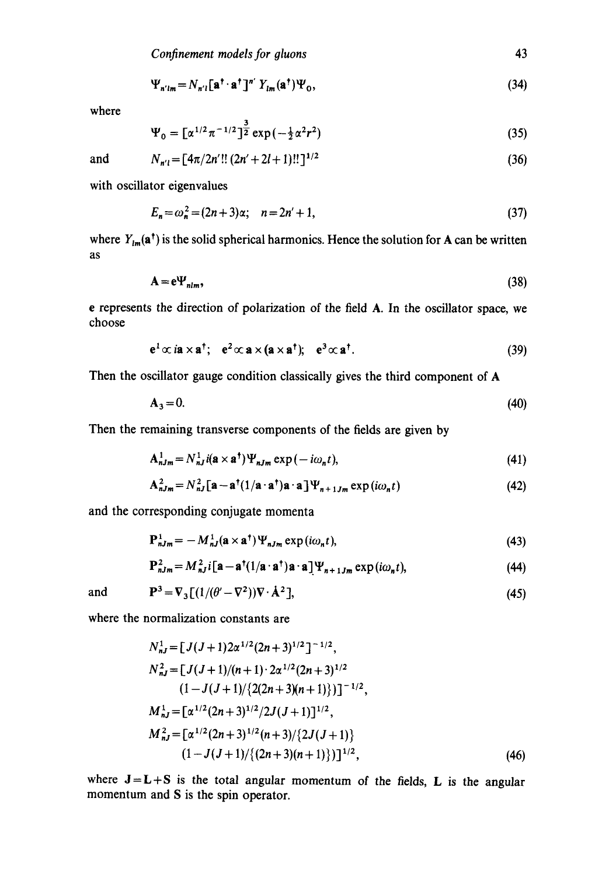$$
\Psi_{n'm} = N_{n'l} [\mathbf{a}^\dagger \cdot \mathbf{a}^\dagger]^{n'} Y_{lm}(\mathbf{a}^\dagger) \Psi_0, \tag{34}
$$

where

$$
\Psi_0 = \left[\alpha^{1/2} \pi^{-1/2}\right]^{\frac{3}{2}} \exp\left(-\frac{1}{2} \alpha^2 r^2\right) \tag{35}
$$

and 
$$
N_{n'l} = [4\pi/2n'!! (2n'+2l+1)!!]^{1/2}
$$
 (36)

with oscillator eigenvalues

$$
E_n = \omega_n^2 = (2n+3)\alpha; \quad n = 2n' + 1,\tag{37}
$$

where  $Y_{lm}(\mathbf{a}^{\dagger})$  is the solid spherical harmonics. Hence the solution for A can be written as

$$
\mathbf{A} = \mathbf{e}\mathbf{\Psi}_{nlm},\tag{38}
$$

e represents the direction of polarization of the field A. In the oscillator space, we choose

$$
\mathbf{e}^1 \propto i\mathbf{a} \times \mathbf{a}^\dagger; \quad \mathbf{e}^2 \propto \mathbf{a} \times (\mathbf{a} \times \mathbf{a}^\dagger); \quad \mathbf{e}^3 \propto \mathbf{a}^\dagger. \tag{39}
$$

Then the oscillator gauge condition classically gives the third component of A

$$
\mathbf{A}_3 = 0. \tag{40}
$$

Then the remaining transverse components of the fields are given by

$$
\mathbf{A}_{nJm}^{1} = N_{nJ}^{1} i(\mathbf{a} \times \mathbf{a}^{\dagger}) \Psi_{nJm} \exp(-i\omega_{n} t), \qquad (41)
$$

$$
\mathbf{A}_{nJm}^2 = N_{nJ}^2 \left[ \mathbf{a} - \mathbf{a}^\dagger (1/\mathbf{a} \cdot \mathbf{a}^\dagger) \mathbf{a} \cdot \mathbf{a} \right] \Psi_{n+1Jm} \exp(i\omega_n t) \tag{42}
$$

and the corresponding conjugate momenta

$$
\mathbf{P}_{nJm}^{1} = -M_{nJ}^{1}(\mathbf{a} \times \mathbf{a}^{\dagger}) \Psi_{nJm} \exp(i\omega_{n}t), \qquad (43)
$$

$$
\mathbf{P}_{nJm}^2 = M_{nJ}^2 i \left[ \mathbf{a} - \mathbf{a}^\dagger (1/\mathbf{a} \cdot \mathbf{a}^\dagger) \mathbf{a} \cdot \mathbf{a} \right] \Psi_{n+1Jm} \exp(i\omega_n t),\tag{44}
$$

and 
$$
\mathbf{P}^3 = \nabla_3 \left[ \left( 1/(\theta' - \nabla^2) \right) \nabla \cdot \mathbf{A}^2 \right],
$$
 (45)

where the normalization constants are

$$
N_{nJ}^{1} = [J(J+1)2\alpha^{1/2}(2n+3)^{1/2}]^{-1/2},
$$
  
\n
$$
N_{nJ}^{2} = [J(J+1)/(n+1) \cdot 2\alpha^{1/2}(2n+3)^{1/2}
$$
  
\n
$$
(1 - J(J+1)/\{2(2n+3)(n+1)\})]^{-1/2},
$$
  
\n
$$
M_{nJ}^{1} = [\alpha^{1/2}(2n+3)^{1/2}/2J(J+1)]^{1/2},
$$
  
\n
$$
M_{nJ}^{2} = [\alpha^{1/2}(2n+3)^{1/2}(n+3)/\{2J(J+1)\}
$$
  
\n
$$
(1 - J(J+1)/\{(2n+3)(n+1)\})]^{1/2},
$$
  
\n(46)

where  $J = L + S$  is the total angular momentum of the fields, L is the angular momentum and S is the spin operator.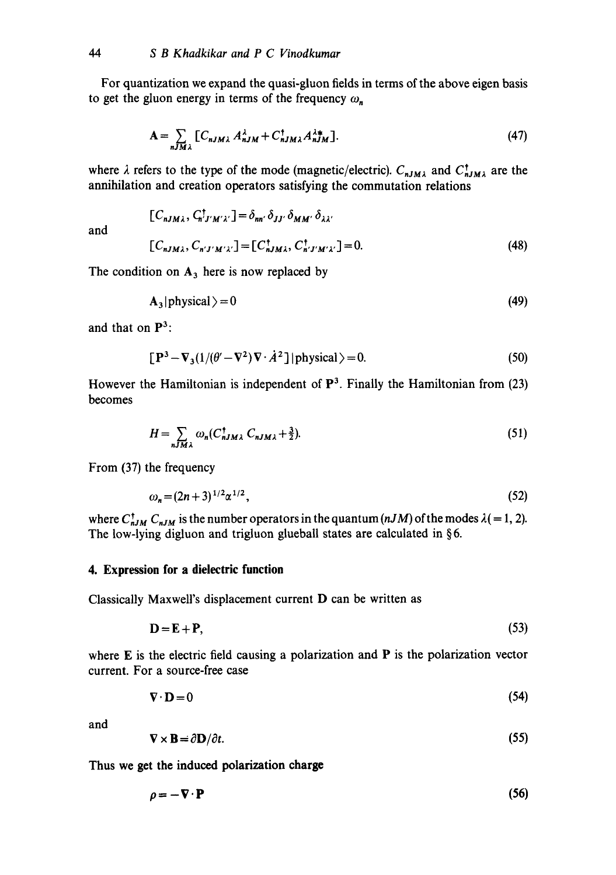For quantization we expand the quasi-gluon fields in terms of the above eigen basis to get the gluon energy in terms of the frequency  $\omega_n$ .

$$
\mathbf{A} = \sum_{nJM\lambda} \left[ C_{nJM\lambda} A_{nJM}^{\lambda} + C_{nJM\lambda}^{\dagger} A_{nJM}^{\lambda*} \right]. \tag{47}
$$

where  $\lambda$  refers to the type of the mode (magnetic/electric).  $C_{nJM\lambda}$  and  $C_{nJM\lambda}^{\dagger}$  are the annihilation and creation operators satisfying the commutation relations

and

$$
[C_{nJM\lambda}, C_{n'J'M'\lambda'}^{\dagger}]=\delta_{nn'}\delta_{JJ'}\delta_{MM'}\delta_{\lambda\lambda'}
$$
  

$$
[C_{nJM\lambda}, C_{n'J'M'\lambda'}]= [C_{nJM\lambda}^{\dagger}, C_{n'J'M'\lambda'}^{\dagger}] = 0.
$$
 (48)

The condition on  $A_3$  here is now replaced by

$$
A_3 | physical \rangle = 0 \tag{49}
$$

and that on  $\mathbf{P}^3$ :

$$
[\mathbf{P}^3 - \nabla_3(1/(\theta' - \nabla^2)\nabla \cdot \dot{A}^2)] \text{physical} \rangle = 0. \tag{50}
$$

However the Hamiltonian is independent of  $\mathbb{P}^3$ . Finally the Hamiltonian from (23) becomes

$$
H = \sum_{nJM\lambda} \omega_n (C_{nJM\lambda}^\dagger C_{nJM\lambda} + \frac{3}{2}).
$$
 (51)

From (37) the frequency

$$
\omega_n = (2n+3)^{1/2} \alpha^{1/2},\tag{52}
$$

where  $C_{nJM}^{\dagger} C_{nJM}$  is the number operators in the quantum  $(nJM)$  of the modes  $\lambda (= 1, 2)$ . The low-lying digluon and trigluon glueball states are calculated in §6.

#### **4. Expression for a dielectric function**

Classically Maxwell's displacement current D can be written as

$$
\mathbf{D} = \mathbf{E} + \mathbf{P},\tag{53}
$$

where  $E$  is the electric field causing a polarization and  $P$  is the polarization vector current. For a source-free case

$$
\nabla \cdot \mathbf{D} = 0 \tag{54}
$$

and

$$
\nabla \times \mathbf{B} = \partial \mathbf{D} / \partial t. \tag{55}
$$

**Thus we get the induced polarization charge** 

$$
\rho = -\nabla \cdot \mathbf{P} \tag{56}
$$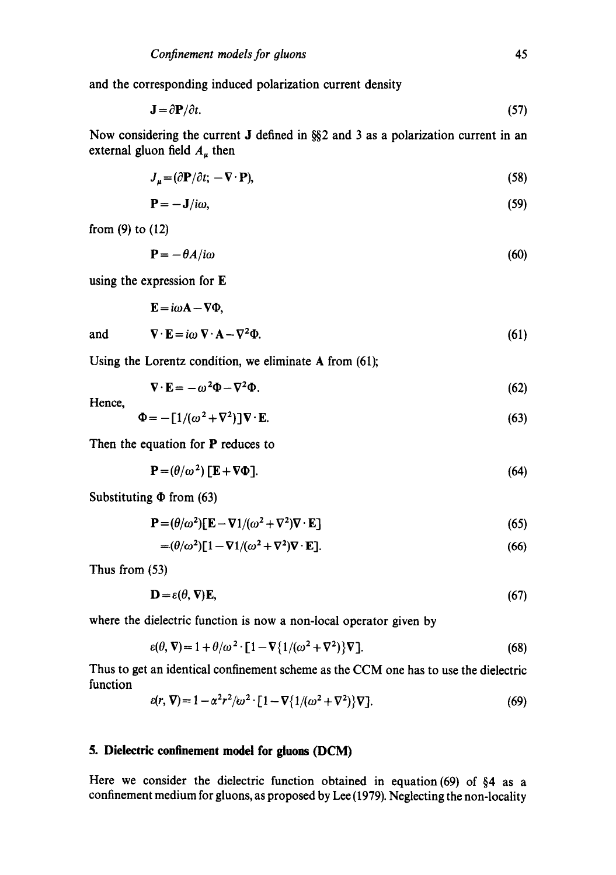and the corresponding induced polarization current density

$$
\mathbf{J} = \partial \mathbf{P}/\partial t. \tag{57}
$$

Now considering the current J defined in  $\frac{852}{10}$  and 3 as a polarization current in an external gluon field  $A_u$  then

$$
J_{\mu} = (\partial \mathbf{P}/\partial t; -\nabla \cdot \mathbf{P}),\tag{58}
$$

$$
\mathbf{P} = -\mathbf{J}/i\omega,\tag{59}
$$

from (9) to (12)

$$
\mathbf{P} = -\theta A / i\omega \tag{60}
$$

using the expression for **E** 

$$
\mathbf{E} = i\omega \mathbf{A} - \nabla \Phi,
$$

and 
$$
\nabla \cdot \mathbf{E} = i\omega \, \nabla \cdot \mathbf{A} - \nabla^2 \Phi. \tag{61}
$$

Using the Lorentz condition, we eliminate A from (61);

$$
\nabla \cdot \mathbf{E} = -\omega^2 \Phi - \nabla^2 \Phi. \tag{62}
$$

Hence,

$$
\Phi = -\left[1/(\omega^2 + \nabla^2)\right]\nabla \cdot \mathbf{E}.\tag{63}
$$

Then the equation for P reduces to

$$
\mathbf{P} = (\theta/\omega^2) [\mathbf{E} + \nabla \Phi]. \tag{64}
$$

Substituting  $\Phi$  from (63)

$$
\mathbf{P} = (\theta/\omega^2)[\mathbf{E} - \nabla 1/(\omega^2 + \nabla^2)\nabla \cdot \mathbf{E}]
$$
\n(65)

$$
= (\theta/\omega^2)[1 - \nabla 1/(\omega^2 + \nabla^2)\nabla \cdot \mathbf{E}].
$$
\n(66)

Thus from (53)

$$
\mathbf{D} = \varepsilon(\theta, \nabla)\mathbf{E},\tag{67}
$$

where the dielectric function is now a non-local operator given by

$$
\varepsilon(\theta, \nabla) = 1 + \theta/\omega^2 \cdot [1 - \nabla \{1/(\omega^2 + \nabla^2)\} \nabla].
$$
\n(68)

Thus to get an identical confinement scheme as the CCM one has to use the dielectric function

$$
\varepsilon(r,\nabla) = 1 - \alpha^2 r^2/\omega^2 \cdot [1 - \nabla \{1/(\omega^2 + \nabla^2)\} \nabla].
$$
\n(69)

#### **5. Dielectric confinement model for gluons (DCM)**

Here we consider the dielectric function obtained in equation (69) of §4 as a confinement medium for gluons, as proposed by Lee (1979). Neglecting the non-locality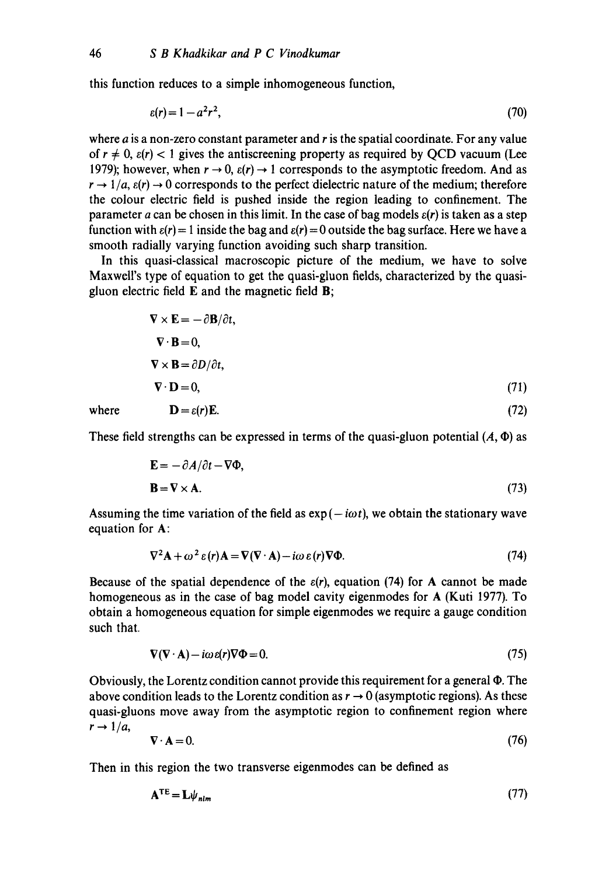this function reduces to a simple inhomogeneous function,

$$
\varepsilon(r) = 1 - a^2 r^2,\tag{70}
$$

where  $\vec{a}$  is a non-zero constant parameter and  $\vec{r}$  is the spatial coordinate. For any value of  $r \neq 0$ ,  $\varepsilon(r) < 1$  gives the antiscreening property as required by QCD vacuum (Lee 1979); however, when  $r \to 0$ ,  $\varepsilon(r) \to 1$  corresponds to the asymptotic freedom. And as  $r \rightarrow 1/a$ ,  $\varepsilon(r) \rightarrow 0$  corresponds to the perfect dielectric nature of the medium; therefore the colour electric field is pushed inside the region leading to confinement. The parameter a can be chosen in this limit. In the case of bag models  $\varepsilon(r)$  is taken as a step function with  $\varepsilon(r) = 1$  inside the bag and  $\varepsilon(r) = 0$  outside the bag surface. Here we have a smooth radially varying function avoiding such sharp transition.

In this quasi-classical macroscopic picture of the medium, we have to solve Maxwell's type of equation to get the quasi-gluon fields, characterized by the quasigluon electric field  $E$  and the magnetic field  $B$ ;

$$
\nabla \times \mathbf{E} = -\partial \mathbf{B}/\partial t,
$$
  
\n
$$
\nabla \cdot \mathbf{B} = 0,
$$
  
\n
$$
\nabla \times \mathbf{B} = \partial D/\partial t,
$$
  
\n
$$
\nabla \cdot \mathbf{D} = 0,
$$
 (71)  
\nwhere  
\n
$$
\mathbf{D} = \varepsilon(r)\mathbf{E}.
$$
 (72)

These field strengths can be expressed in terms of the quasi-gluon potential  $(A, \Phi)$  as

$$
\mathbf{E} = -\partial A/\partial t - \nabla \Phi,
$$
  

$$
\mathbf{B} = \nabla \times \mathbf{A}.
$$
 (73)

Assuming the time variation of the field as  $\exp(-i\omega t)$ , we obtain the stationary wave equation for A:

$$
\nabla^2 \mathbf{A} + \omega^2 \varepsilon(r) \mathbf{A} = \nabla (\nabla \cdot \mathbf{A}) - i \omega \varepsilon(r) \nabla \Phi.
$$
 (74)

Because of the spatial dependence of the  $\varepsilon(r)$ , equation (74) for A cannot be made homogeneous as in the case of bag model cavity eigenmodes for A (Kuti 1977). To obtain a homogeneous equation for simple eigenmodes we require a gauge condition such that.

$$
\nabla(\nabla \cdot \mathbf{A}) - i\omega \varepsilon(r) \nabla \Phi = 0. \tag{75}
$$

Obviously, the Lorentz condition cannot provide this requirement for a general  $\Phi$ . The above condition leads to the Lorentz condition as  $r \to 0$  (asymptotic regions). As these quasi-gluons move away from the asymptotic region to confinement region where  $r \rightarrow 1/a$ ,

$$
\nabla \cdot \mathbf{A} = 0. \tag{76}
$$

Then in this region the two transverse eigenmodes can be defined as

$$
\mathbf{A}^{\text{TE}} = \mathbf{L}\psi_{nlm} \tag{77}
$$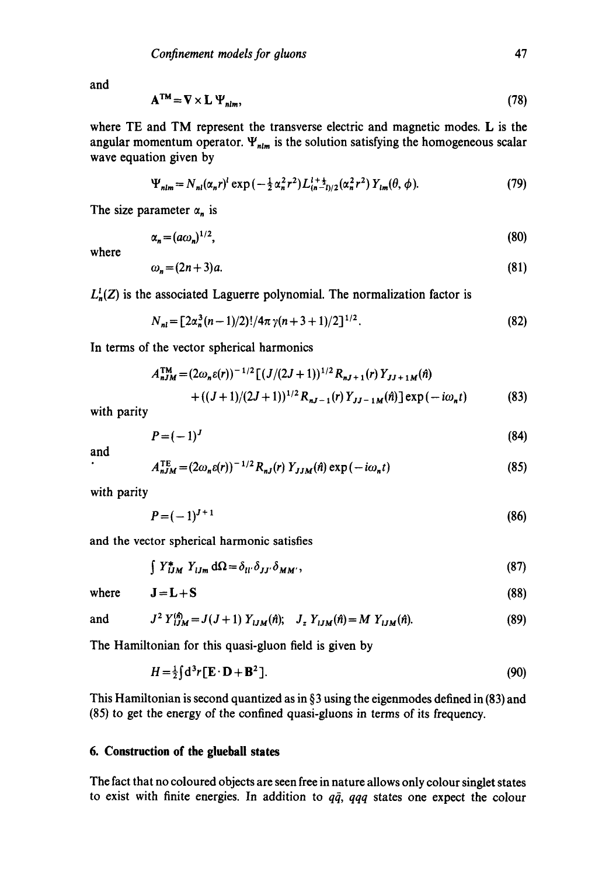and

$$
\mathbf{A}^{\mathsf{TM}} = \nabla \times \mathbf{L} \, \Psi_{nlm},\tag{78}
$$

where TE and TM represent the transverse electric and magnetic modes. L is the angular momentum operator.  $\Psi_{nlm}$  is the solution satisfying the homogeneous scalar wave equation given by

$$
\Psi_{nlm} = N_{nl}(\alpha_n r)^l \exp\left(-\frac{1}{2}\alpha_n^2 r^2\right) L_{(n-l)/2}^{l+\frac{1}{2}}(\alpha_n^2 r^2) Y_{lm}(\theta, \phi). \tag{79}
$$

The size parameter  $\alpha_n$  is

$$
\alpha_n = (a\omega_n)^{1/2},\tag{80}
$$

where

$$
\omega_n = (2n+3)a. \tag{81}
$$

 $L_n^1(Z)$  is the associated Laguerre polynomial. The normalization factor is

$$
N_{nl} = \left[2\alpha_n^3(n-1)/2\right]^{1/4}\pi\gamma(n+3+1)/2\right]^{1/2}.
$$
 (82)

In terms of the vector spherical harmonics

$$
A_{nJM}^{\text{TM}} = (2\omega_n \varepsilon(r))^{-1/2} \left[ (J/(2J+1))^{1/2} R_{nJ+1}(r) Y_{JJ+1M}(n) + ((J+1)/(2J+1))^{1/2} R_{nJ-1}(r) Y_{JJ-1M}(n) \right] \exp(-i\omega_n t)
$$
(83)

with parity

$$
P=(-1)^J\tag{84}
$$

and

$$
A_{nJM}^{TE} = (2\omega_n \varepsilon(r))^{-1/2} R_{nJ}(r) Y_{JJM}(\hat{n}) \exp(-i\omega_n t)
$$
 (85)

with parity

$$
P = (-1)^{J+1} \tag{86}
$$

and the vector spherical harmonic satisfies

$$
\int Y_{iJM}^* Y_{iJm} d\Omega = \delta_{ii'} \delta_{JJ'} \delta_{MM'}, \qquad (87)
$$

where  $J=L+S$  (88)

and 
$$
J^2 Y_{iJM}^{(\hat{n})} = J(J+1) Y_{iJM}(\hat{n}); \quad J_z Y_{iJM}(\hat{n}) = M Y_{iJM}(\hat{n}).
$$
 (89)

The Hamiltonian for this quasi-gluon field is given by

$$
H = \frac{1}{2} \int d^3 r \left[ \mathbf{E} \cdot \mathbf{D} + \mathbf{B}^2 \right]. \tag{90}
$$

This Hamiltonian is second quantized as in  $\S$ 3 using the eigenmodes defined in (83) and **(85)** to get the energy of the confined quasi-gluons in terms of its frequency.

# **6. Construction of the glueball states**

The fact that no coloured objects are seen free in nature allows only colour singlet states to exist with finite energies. In addition to  $q\bar{q}$ ,  $qqq$  states one expect the colour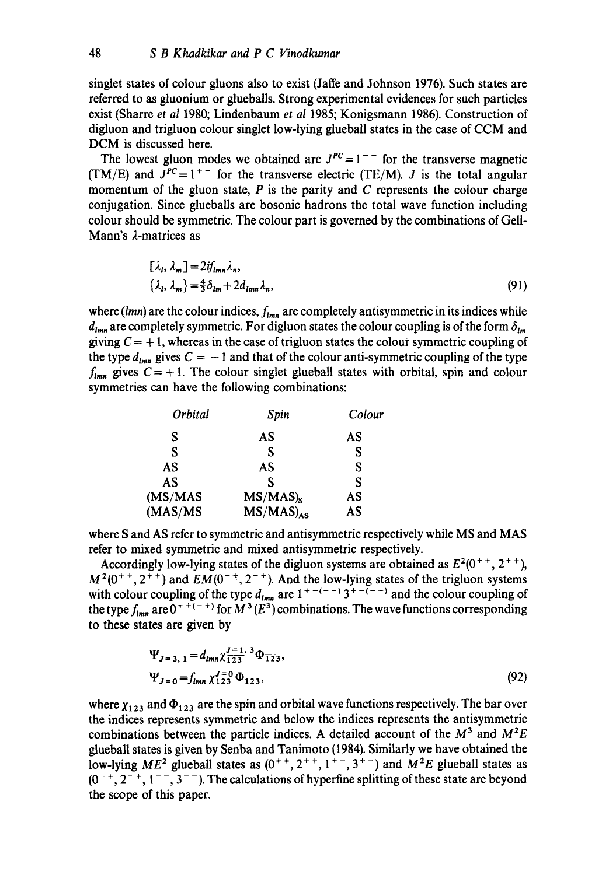singlet states of colour gluons also to exist (Jaffe and Johnson 1976). Such states are referred to as gluonium or glueballs. Strong experimental evidences for such particles exist (Sharre *et al* 1980; Lindenbaum *et al* 1985; Konigsmann 1986). Construction of digluon and trigluon colour singlet low-lying glueball states in the case of CCM and DCM is discussed here.

The lowest gluon modes we obtained are  $J^{PC} = 1^{-}$  for the transverse magnetic (TM/E) and  $J^{PC} = 1^{+-}$  for the transverse electric (TE/M). *J* is the total angular momentum of the gluon state,  $P$  is the parity and  $C$  represents the colour charge conjugation. Since glueballs are bosonic hadrons the total wave function including colour should be symmetric. The colour part is governed by the combinations of Gell-Mann's  $\lambda$ -matrices as

$$
[\lambda_l, \lambda_m] = 2if_{lmn}\lambda_n,
$$
  

$$
\{\lambda_l, \lambda_m\} = \frac{4}{3}\delta_{lm} + 2d_{lmn}\lambda_n,
$$
 (91)

where  $(lmn)$  are the colour indices,  $f_{lmn}$  are completely antisymmetric in its indices while  $d_{lmn}$  are completely symmetric. For digluon states the colour coupling is of the form  $\delta_{lm}$ giving  $C = +1$ , whereas in the case of trigluon states the colour symmetric coupling of the type  $d_{lmn}$  gives  $C = -1$  and that of the colour anti-symmetric coupling of the type  $f_{lmn}$  gives  $C = +1$ . The colour singlet glueball states with orbital, spin and colour symmetries can have the following combinations:

| Orbital | Spin                  | Colour |  |
|---------|-----------------------|--------|--|
| S       | AS                    | AS     |  |
| S       | S                     | S      |  |
| AS      | AS                    | S      |  |
| AS      | S                     | S      |  |
| (MS/MAS | $MS/MAS$ <sub>s</sub> | AS     |  |
| (MAS/MS | $MS/MAS)_{AS}$        | AS     |  |

where S and AS refer to symmetric and antisymmetric respectively while MS and MAS refer to mixed symmetric and mixed antisymmetric respectively.

Accordingly low-lying states of the digluon systems are obtained as  $E^2(0^+, 2^{++})$ ,  $M^2(0^{++}, 2^{++})$  and  $EM(0^{-+}, 2^{-+})$ . And the low-lying states of the trigluon systems with colour coupling of the type  $d_{lmn}$  are  $1^{+ - (-)} 3^{+ - (-)}$  and the colour coupling of the type  $f_{lmn}$  are  $0^{+ + (- +)}$  for  $M^3(E^3)$  combinations. The wave functions corresponding to these states are given by

$$
\Psi_{J=3, 1} = d_{lmn} \chi_{1\,23}^{J=1, 3} \Phi_{1\,23},
$$
  
\n
$$
\Psi_{J=0} = f_{lmn} \chi_{1\,23}^{J=0} \Phi_{1\,23},
$$
\n(92)

where  $\chi_{123}$  and  $\Phi_{123}$  are the spin and orbital wave functions respectively. The bar over the indices represents symmetric and below the indices represents the antisymmetric combinations between the particle indices. A detailed account of the  $M^3$  and  $M^2E$ glueball states is given by Senba and Tanimoto (1984). Similarly we have obtained the low-lying  $ME^2$  glueball states as  $(0^{+ +}, 2^{+ +}, 1^{+ -}, 3^{+ -})$  and  $M^2E$  glueball states as  $(0^{-+}, 2^{-+}, 1^{--}, 3^{--})$ . The calculations of hyperfine splitting of these state are beyond the scope of this paper.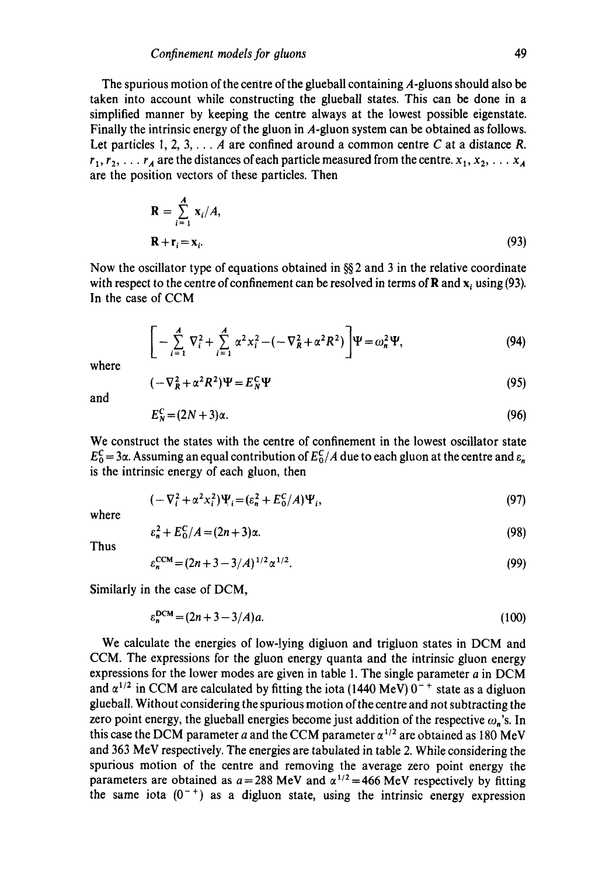The spurious motion of the centre of the glueball containing A-gluons should also be taken into account while constructing the glueball states. This can be done in a simplified manner by keeping the centre always at the lowest possible eigenstate. Finally the intrinsic energy of the gluon in  $A$ -gluon system can be obtained as follows. Let particles 1, 2, 3,  $\ldots$  A are confined around a common centre C at a distance R.  $r_1, r_2, \ldots r_A$  are the distances of each particle measured from the centre,  $x_1, x_2, \ldots x_A$ are the position vectors of these particles. Then

$$
\mathbf{R} = \sum_{i=1}^{A} \mathbf{x}_i / A,
$$
  

$$
\mathbf{R} + \mathbf{r}_i = \mathbf{x}_i.
$$
 (93)

Now the oscillator type of equations obtained in §§ 2 and 3 in the relative coordinate with respect to the centre of confinement can be resolved in terms of **R** and  $x_i$  using (93). In the case of CCM

$$
\left[ -\sum_{i=1}^{A} \nabla_{i}^{2} + \sum_{i=1}^{A} \alpha^{2} x_{i}^{2} - (-\nabla_{R}^{2} + \alpha^{2} R^{2}) \right] \Psi = \omega_{n}^{2} \Psi,
$$
\n(94)

where

$$
(-\nabla_R^2 + \alpha^2 R^2)\Psi = E_N^C \Psi
$$
\n(95)

and

$$
E_N^C = (2N+3)\alpha. \tag{96}
$$

We construct the states with the centre of confinement in the lowest oscillator state  $E_0^C = 3\alpha$ . Assuming an equal contribution of  $E_0^C/A$  due to each gluon at the centre and  $\varepsilon_n$ is the intrinsic energy of each gluon, then

$$
(-\nabla_i^2 + \alpha^2 x_i^2)\Psi_i = (\varepsilon_n^2 + E_0^C/A)\Psi_i,
$$
\n(97)

where

$$
\varepsilon_n^2 + E_0^C / A = (2n + 3)\alpha. \tag{98}
$$

Thus

$$
\varepsilon_n^{\text{CCM}} = (2n + 3 - 3/A)^{1/2} \alpha^{1/2}.
$$
\n(99)

Similarly in the case of DCM,

 $\varepsilon_n^{\text{DCM}} = (2n + 3 - 3/A)a$ . **(lOO)** 

We calculate the energies of low-lying digluon and trigluon states in DCM and CCM. The expressions for the gluon energy quanta and the intrinsic gluon energy expressions for the lower modes are given in table 1. The single parameter  $a$  in DCM and  $\alpha^{1/2}$  in CCM are calculated by fitting the iota (1440 MeV)  $0^{-+}$  state as a digluon glueball. Without considering the spurious motion of the centre and not subtracting the zero point energy, the glueball energies become just addition of the respective  $\omega_n$ 's. In this case the DCM parameter a and the CCM parameter  $\alpha^{1/2}$  are obtained as 180 MeV and 363 MeV respectively. The energies are tabulated in table 2. While considering the spurious motion of the centre and removing the average zero point energy the parameters are obtained as  $a = 288$  MeV and  $\alpha^{1/2} = 466$  MeV respectively by fitting the same iota  $(0^{-+})$  as a digluon state, using the intrinsic energy expression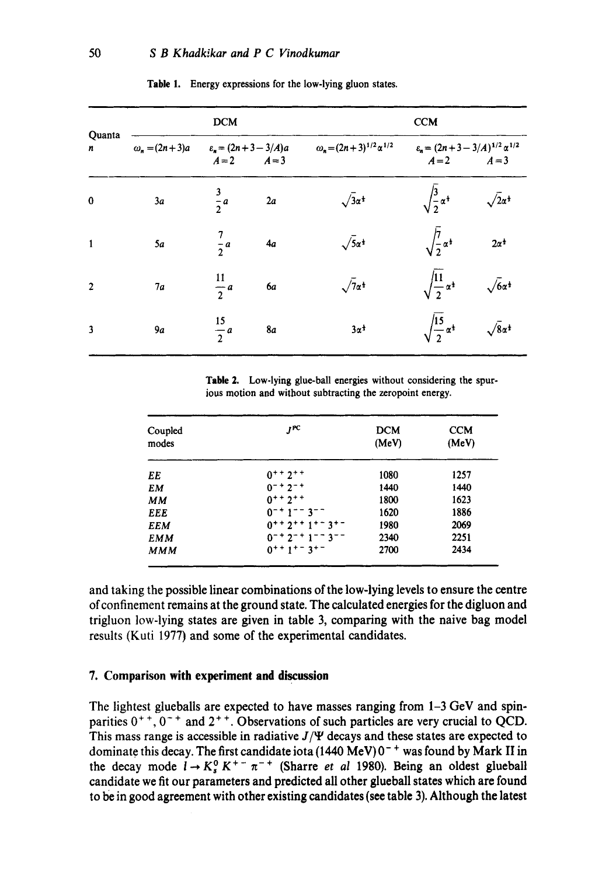| Quanta<br>n    | <b>DCM</b>             |                                            |           | <b>CCM</b>                             |                                                              |                                |  |
|----------------|------------------------|--------------------------------------------|-----------|----------------------------------------|--------------------------------------------------------------|--------------------------------|--|
|                | $\omega_n = (2n + 3)a$ | $\varepsilon_n = (2n + 3 - 3/A)a$<br>$A=2$ | $A=3$     | $\omega_n = (2n+3)^{1/2} \alpha^{1/2}$ | $\varepsilon_n = (2n + 3 - 3/A)^{1/2} \alpha^{1/2}$<br>$A=2$ | $A=3$                          |  |
| $\bf{0}$       | 3a                     | $\frac{3}{2}a$                             | 2a        | $\sqrt{3}a^{\frac{1}{3}}$              | $\sqrt{\frac{3}{2}} \alpha^{\frac{1}{2}}$                    | $\sqrt{2}a^{\frac{1}{2}}$      |  |
| $\mathbf{1}$   | 5a                     | $\frac{7}{2}a$                             | 4a        | $\sqrt{5a}$ <sup>*</sup>               | $\sqrt{\frac{7}{2}} \alpha^{\frac{1}{2}}$                    | $2\alpha^{\frac{1}{2}}$        |  |
| $\overline{2}$ | 7a                     | $\frac{11}{2}a$                            | 6а        | $\sqrt{7}a^{\frac{1}{2}}$              | $\sqrt{\frac{11}{2} \alpha^{\frac{1}{2}}}$                   | $\sqrt{6\alpha^4}$             |  |
| $\mathbf{3}$   | 9a                     | $\frac{15}{2}a$                            | <b>8a</b> | $3\alpha^{\frac{1}{2}}$                | $\sqrt{\frac{15}{2} \alpha^{\frac{1}{2}}}$                   | $\sqrt{8\alpha^{\frac{1}{2}}}$ |  |

#### **Table 1. Energy expressions for the low-lying gluon states.**

**Table 2. Low-lying glue-ball energies without considering the spurious motion and without subtracting the zeropoint energy.** 

| Coupled<br>modes | $I^{PC}$                                                 | <b>DCM</b><br>(MeV) | <b>CCM</b><br>(MeV) |
|------------------|----------------------------------------------------------|---------------------|---------------------|
| EE               | $0^{++}$ 2 <sup>++</sup>                                 | 1080                | 1257                |
| EM               | $0^{-+}$ 2 <sup>-+</sup>                                 | 1440                | 1440                |
| MМ               | $0^{++}$ 2 <sup>++</sup>                                 | 1800                | 1623                |
| EEE              | $0 - 1 - 3 - 7$                                          | 1620                | 1886                |
| <b>EEM</b>       | $0^{++}$ 2 + + 1 + - 3 + -                               | 1980                | 2069                |
| <b>EMM</b>       | $0^{-+}$ 2 <sup>-+</sup> 1 <sup>--</sup> 3 <sup>--</sup> | 2340                | 2251                |
| <b>MMM</b>       | $0^{++}$ 1 <sup>+</sup> $-$ 3 <sup>+</sup> $-$           | 2700                | 2434                |

**and taking the possible linear combinations of the low-lying levels to ensure the centre of confinement remains at the ground state. The calculated energies for the digluon and trigluon low-lying states are given in table 3, comparing with the naive bag model results (Kuti 1977) and some of the experimental candidates.** 

## **7. Comparison with experiment and discussion**

**The lightest glueballs are expected to have masses ranging from 1-3 GeV and spin**parities  $0^{++}$ ,  $0^{-+}$  and  $2^{++}$ . Observations of such particles are very crucial to QCD. This mass range is accessible in radiative  $J/\Psi$  decays and these states are expected to dominate this decay. The first candidate iota (1440 MeV) 0<sup>-+</sup> was found by Mark II in the decay mode  $l \rightarrow K_s^0 K^+ - \pi^{-+}$  (Sharre *et al 1980)*. Being an oldest glueball **candidate we fit our parameters and predicted all other glueball states which are found to be in good agreement with other existing candidates (see table 3). Although the latest**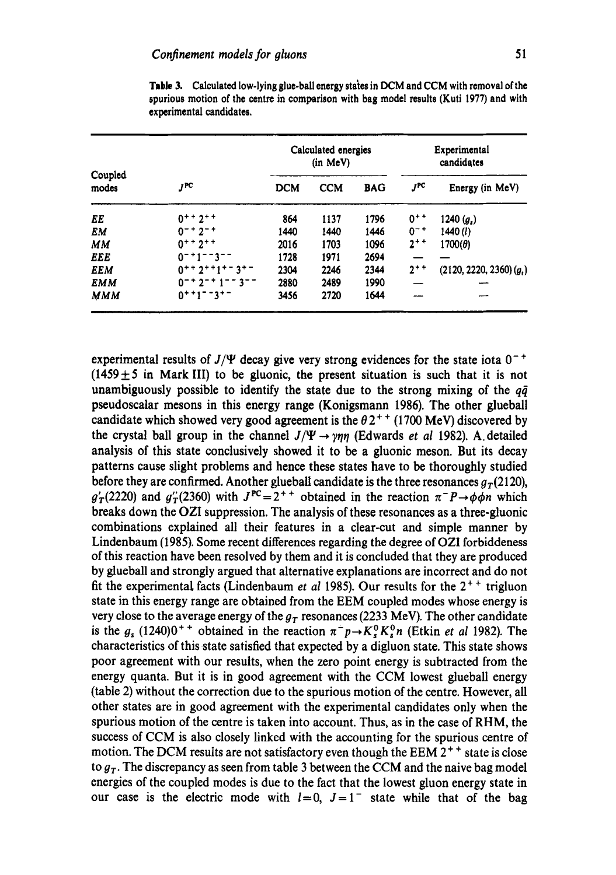| Coupled<br>modes | JPC                                                      | Calculated energies<br>(in MeV) |            | Experimental<br>candidates |          |                              |
|------------------|----------------------------------------------------------|---------------------------------|------------|----------------------------|----------|------------------------------|
|                  |                                                          | <b>DCM</b>                      | <b>CCM</b> | <b>BAG</b>                 | JРС      | Energy (in MeV)              |
| EE               | $0^{++}$ 2 <sup>++</sup>                                 | 864                             | 1137       | 1796                       | $0^{++}$ | 1240 $(g_s)$                 |
| EM               | $0^{-+}2^{-+}$                                           | 1440                            | 1440       | 1446                       | $0^{-+}$ | 1440(l)                      |
| <b>MM</b>        | $0^{++}2^{++}$                                           | 2016                            | 1703       | 1096                       | $2^{++}$ | $1700(\theta)$               |
| EEE              | $0 - 1 - 3 - -$                                          | 1728                            | 1971       | 2694                       |          |                              |
| <b>EEM</b>       | $0+12+1=-3$                                              | 2304                            | 2246       | 2344                       | $2^{++}$ | $(2120, 2220, 2360)$ $(q_i)$ |
| <b>EMM</b>       | $0^{-+}$ 2 <sup>-+</sup> 1 <sup>--</sup> 3 <sup>--</sup> | 2880                            | 2489       | 1990                       |          |                              |
| <b>MMM</b>       | $0$ + + 1 - - 3 + -                                      | 3456                            | 2720       | 1644                       |          |                              |

Table 3. Calculated low-lying glue-ball energy states in DCM and CCM with removal of the **spurious motion of the centre in comparison with bag model results (Kuti 1977) and with experimental candidates.** 

experimental results of  $J/\Psi$  decay give very strong evidences for the state iota  $0^{-+}$  $(1459 \pm 5)$  in Mark III) to be gluonic, the present situation is such that it is not unambiguously possible to identify the state due to the strong mixing of the  $q\bar{q}$ pseudoscalar mesons in this energy range (Konigsmann 1986). The other glueball candidate which showed very good agreement is the  $\theta 2^{++}$  (1700 MeV) discovered by the crystal ball group in the channel  $J/\Psi \rightarrow \gamma \eta \eta$  (Edwards *et al* 1982). A detailed analysis of this state conclusively showed it to be a gluonic meson. But its decay patterns cause slight problems and hence these states have to be thoroughly studied before they are confirmed. Another glueball candidate is the three resonances  $g_r(2120)$ ,  $g'_T(2220)$  and  $g''_T(2360)$  with  $J^{PC}=2^{++}$  obtained in the reaction  $\pi^-P\rightarrow\phi\phi\eta$  which breaks down the OZI suppression. The analysis of these resonances as a three-gluonic combinations explained all their features in a clear-cut and simple manner by Lindenbaum (1985). Some recent differences regarding the degree of OZI forbiddeness of this reaction have been resolved by them and it is concluded that they are produced by glueball and strongly argued that alternative explanations are incorrect and do not fit the experimental facts (Lindenbaum *et al* 1985). Our results for the  $2^{++}$  trigluon state in this energy range are obtained from the EEM coupled modes whose energy is very close to the average energy of the  $g_T$  resonances (2233 MeV). The other candidate is the  $g_s$  (1240)0<sup>++</sup> obtained in the reaction  $\pi^-p\rightarrow K_s^0K_s^0n$  (Etkin *et al* 1982). The characteristics of this state satisfied that expected by a digluon state. This state shows poor agreement with our results, when the zero point energy is subtracted from the energy quanta. But it is in good agreement with the CCM lowest glueball energy (table 2) without the correction due to the spurious motion of the centre. However, all other states are in good agreement with the experimental candidates only when the spurious motion of the centre is taken into account. Thus, as in the case of RHM, the success of CCM is also closely linked with the accounting for the spurious centre of motion. The DCM results are not satisfactory even though the EEM  $2^{++}$  state is close to  $g_T$ . The discrepancy as seen from table 3 between the CCM and the naive bag model energies of the coupled modes is due to the fact that the lowest gluon energy state in our case is the electric mode with  $l=0$ ,  $J=1^-$  state while that of the bag